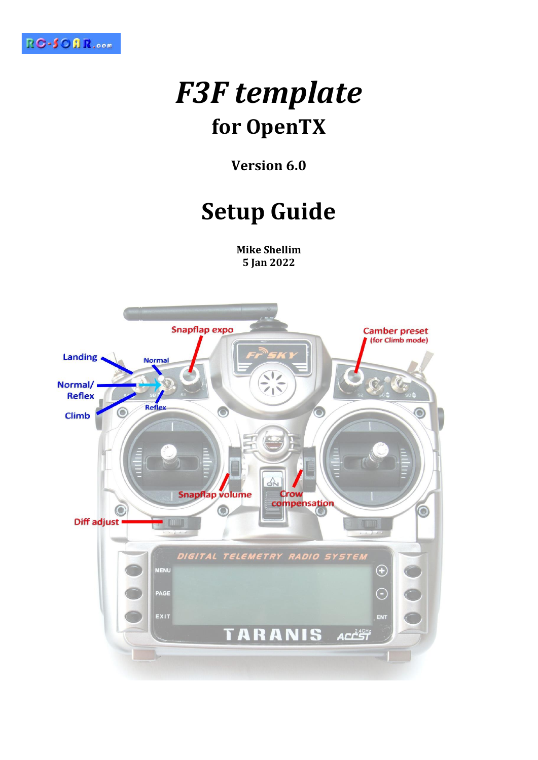

# *F3F template* **for OpenTX**

**Version 6.0**

# **Setup Guide**

**Mike Shellim 5 Jan 2022**

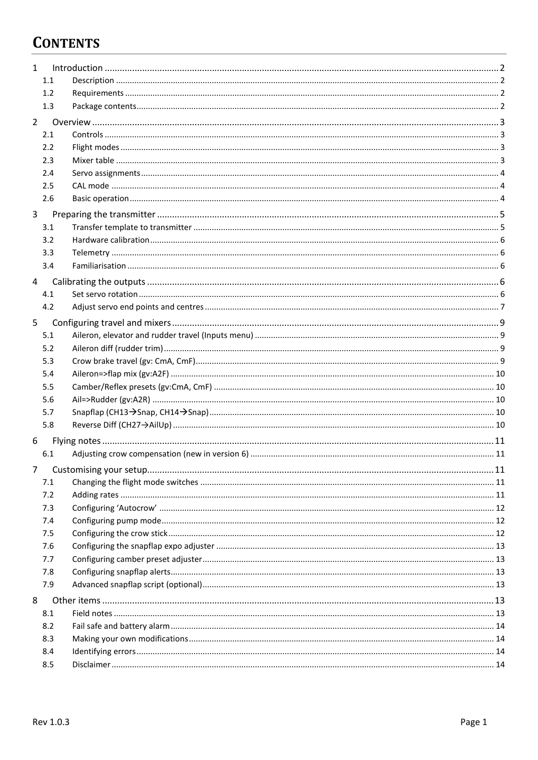# **CONTENTS**

| 1              |     |  |
|----------------|-----|--|
|                | 1.1 |  |
|                | 1.2 |  |
|                | 1.3 |  |
| $\overline{2}$ |     |  |
|                | 2.1 |  |
|                | 2.2 |  |
|                | 2.3 |  |
|                | 2.4 |  |
|                | 2.5 |  |
|                | 2.6 |  |
| 3              |     |  |
|                | 3.1 |  |
|                | 3.2 |  |
|                | 3.3 |  |
|                | 3.4 |  |
| 4              |     |  |
|                | 4.1 |  |
|                | 4.2 |  |
| 5              |     |  |
|                | 5.1 |  |
|                | 5.2 |  |
|                | 5.3 |  |
|                | 5.4 |  |
|                | 5.5 |  |
|                | 5.6 |  |
|                | 5.7 |  |
|                | 5.8 |  |
|                |     |  |
| 6              |     |  |
|                | 6.1 |  |
| $\overline{7}$ |     |  |
|                | 7.1 |  |
|                | 7.2 |  |
|                | 7.3 |  |
|                | 7.4 |  |
|                | 7.5 |  |
|                | 7.6 |  |
|                | 7.7 |  |
|                | 7.8 |  |
|                | 7.9 |  |
| 8              |     |  |
|                | 8.1 |  |
|                | 8.2 |  |
|                | 8.3 |  |
|                | 8.4 |  |
|                | 8.5 |  |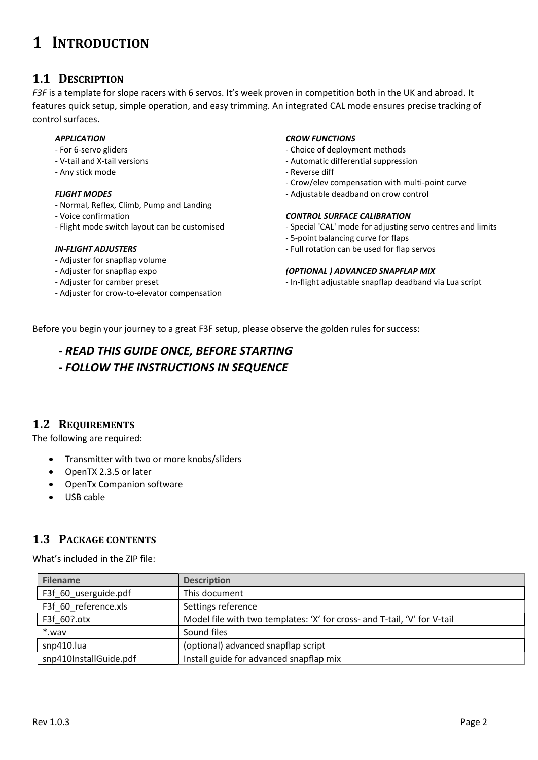### <span id="page-2-1"></span><span id="page-2-0"></span>**1.1 DESCRIPTION**

*F3F* is a template for slope racers with 6 servos. It's week proven in competition both in the UK and abroad. It features quick setup, simple operation, and easy trimming. An integrated CAL mode ensures precise tracking of control surfaces.

#### *APPLICATION*

- For 6-servo gliders
- V-tail and X-tail versions
- Any stick mode

#### *FLIGHT MODES*

- Normal, Reflex, Climb, Pump and Landing
- Voice confirmation
- Flight mode switch layout can be customised

### *IN-FLIGHT ADJUSTERS*

- Adjuster for snapflap volume
- Adjuster for snapflap expo
- Adjuster for camber preset
- Adjuster for crow-to-elevator compensation

### *CROW FUNCTIONS*

- Choice of deployment methods
- Automatic differential suppression
- Reverse diff
- Crow/elev compensation with multi-point curve
- Adjustable deadband on crow control

#### *CONTROL SURFACE CALIBRATION*

- Special 'CAL' mode for adjusting servo centres and limits
- 5-point balancing curve for flaps
- Full rotation can be used for flap servos

#### *(OPTIONAL ) ADVANCED SNAPFLAP MIX*

- In-flight adjustable snapflap deadband via Lua script

Before you begin your journey to a great F3F setup, please observe the golden rules for success:

### *- READ THIS GUIDE ONCE, BEFORE STARTING*

*- FOLLOW THE INSTRUCTIONS IN SEQUENCE*

### <span id="page-2-2"></span>**1.2 REQUIREMENTS**

The following are required:

- Transmitter with two or more knobs/sliders
- OpenTX 2.3.5 or later
- OpenTx Companion software
- USB cable

### <span id="page-2-3"></span>**1.3 PACKAGE CONTENTS**

What's included in the ZIP file:

| <b>Filename</b>        | <b>Description</b>                                                       |  |
|------------------------|--------------------------------------------------------------------------|--|
| F3f_60_userguide.pdf   | This document                                                            |  |
| F3f_60_reference.xls   | Settings reference                                                       |  |
| F3f 60?.otx            | Model file with two templates: 'X' for cross- and T-tail, 'V' for V-tail |  |
| *.wav                  | Sound files                                                              |  |
| snp410.lua             | (optional) advanced snapflap script                                      |  |
| snp410InstallGuide.pdf | Install guide for advanced snapflap mix                                  |  |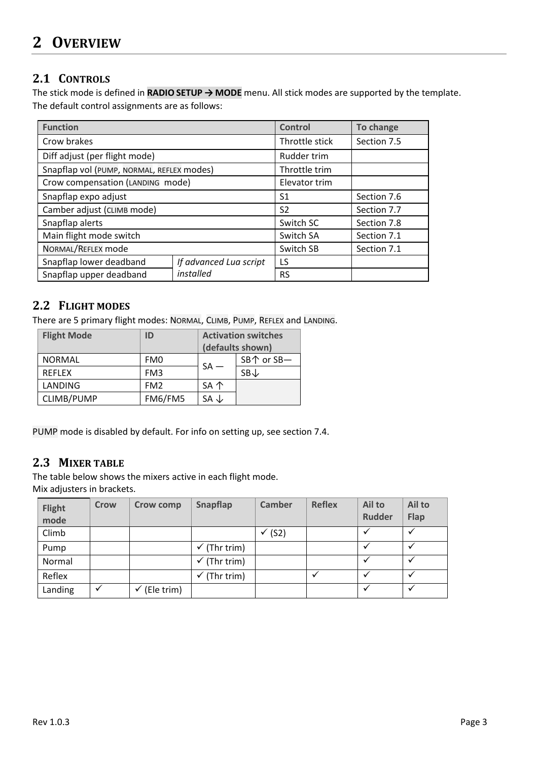# <span id="page-3-0"></span>**2 OVERVIEW**

### <span id="page-3-1"></span>**2.1 CONTROLS**

The stick mode is defined in **RADIO SETUP → MODE** menu. All stick modes are supported by the template. The default control assignments are as follows:

| <b>Function</b>                                   | <b>Control</b> | To change      |             |
|---------------------------------------------------|----------------|----------------|-------------|
| Crow brakes                                       |                | Throttle stick | Section 7.5 |
| Diff adjust (per flight mode)                     |                | Rudder trim    |             |
| Snapflap vol (PUMP, NORMAL, REFLEX modes)         |                | Throttle trim  |             |
| Crow compensation (LANDING mode)                  |                | Elevator trim  |             |
| Snapflap expo adjust                              | S <sub>1</sub> | Section 7.6    |             |
| Camber adjust (CLIMB mode)                        | S <sub>2</sub> | Section 7.7    |             |
| Snapflap alerts                                   |                | Switch SC      | Section 7.8 |
| Main flight mode switch                           |                | Switch SA      | Section 7.1 |
| NORMAL/REFLEX mode                                | Switch SB      | Section 7.1    |             |
| Snapflap lower deadband<br>If advanced Lua script |                | LS             |             |
| installed<br>Snapflap upper deadband              |                | <b>RS</b>      |             |

### <span id="page-3-2"></span>**2.2 FLIGHT MODES**

There are 5 primary flight modes: NORMAL, CLIMB, PUMP, REFLEX and LANDING.

| <b>Flight Mode</b> | ID              |                 | <b>Activation switches</b><br>(defaults shown) |
|--------------------|-----------------|-----------------|------------------------------------------------|
| <b>NORMAL</b>      | FM0             |                 | SB个 or SB-                                     |
| <b>REFLEX</b>      | FM <sub>3</sub> | $SA -$          | $SB\downarrow$                                 |
| <b>LANDING</b>     | FM <sub>2</sub> | SA 个            |                                                |
| CLIMB/PUMP         | FM6/FM5         | $SA \downarrow$ |                                                |

PUMP mode is disabled by default. For info on setting up, see section [7.4.](#page-12-1)

### <span id="page-3-3"></span>**2.3 MIXER TABLE**

The table below shows the mixers active in each flight mode. Mix adjusters in brackets.

| <b>Flight</b><br>mode | Crow | <b>Crow comp</b> | Snapflap                   | Camber            | <b>Reflex</b> | Ail to<br><b>Rudder</b> | Ail to<br>Flap |
|-----------------------|------|------------------|----------------------------|-------------------|---------------|-------------------------|----------------|
| Climb                 |      |                  |                            | (S <sub>2</sub> ) |               |                         |                |
| Pump                  |      |                  | $\checkmark$ (Thr trim)    |                   |               |                         |                |
| Normal                |      |                  | $\checkmark$ (Thr trim)    |                   |               |                         |                |
| Reflex                |      |                  | (Thr trim)<br>$\checkmark$ |                   |               |                         |                |
| Landing               | ✓    | (Ele trim)       |                            |                   |               | $\checkmark$            |                |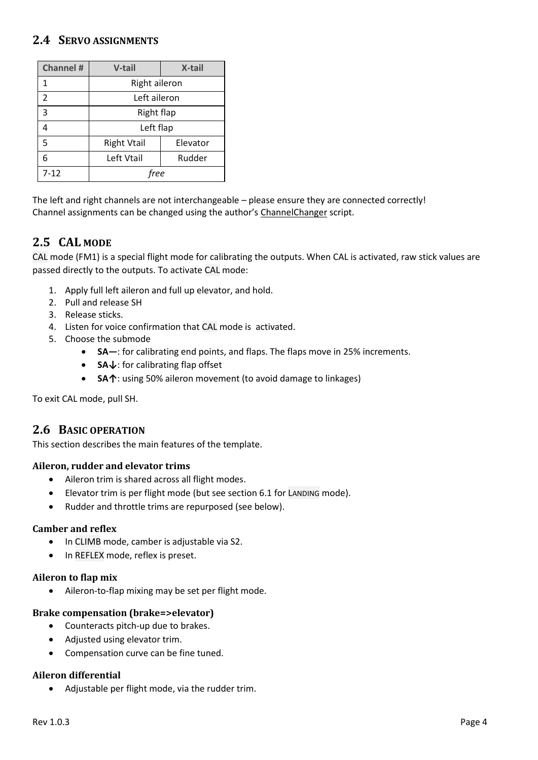### <span id="page-4-0"></span>**2.4 SERVO ASSIGNMENTS**

| <b>Channel #</b> | V-tail                         | X-tail |  |
|------------------|--------------------------------|--------|--|
| 1                | Right aileron                  |        |  |
| $\mathfrak{p}$   | Left aileron                   |        |  |
| 3                | Right flap                     |        |  |
|                  | Left flap                      |        |  |
| 5                | <b>Right Vtail</b><br>Elevator |        |  |
|                  | Left Vtail<br>Rudder           |        |  |
| $7 - 12$         | free                           |        |  |

The left and right channels are not interchangeable – please ensure they are connected correctly! Channel assignments can be changed using the author's [ChannelChanger](http://rc-soar.com/opentx/lua/chanchange/) script.

### <span id="page-4-1"></span>**2.5 CAL MODE**

CAL mode (FM1) is a special flight mode for calibrating the outputs. When CAL is activated, raw stick values are passed directly to the outputs. To activate CAL mode:

- 1. Apply full left aileron and full up elevator, and hold.
- 2. Pull and release SH
- 3. Release sticks.
- 4. Listen for voice confirmation that CAL mode is activated.
- 5. Choose the submode
	- **SA―**: for calibrating end points, and flaps. The flaps move in 25% increments.
	- **SA↓**: for calibrating flap offset
	- **SA↑**: using 50% aileron movement (to avoid damage to linkages)

To exit CAL mode, pull SH.

### <span id="page-4-2"></span>**2.6 BASIC OPERATION**

This section describes the main features of the template.

### **Aileron, rudder and elevator trims**

- Aileron trim is shared across all flight modes.
- Elevator trim is per flight mode (but see section [6.1](#page-11-1) for LANDING mode).
- Rudder and throttle trims are repurposed (see below).

### **Camber and reflex**

- In CLIMB mode, camber is adjustable via S2.
- In REFLEX mode, reflex is preset.

### **Aileron to flap mix**

• Aileron-to-flap mixing may be set per flight mode.

### **Brake compensation (brake=>elevator)**

- Counteracts pitch-up due to brakes.
- Adjusted using elevator trim.
- Compensation curve can be fine tuned.

### **Aileron differential**

• Adjustable per flight mode, via the rudder trim.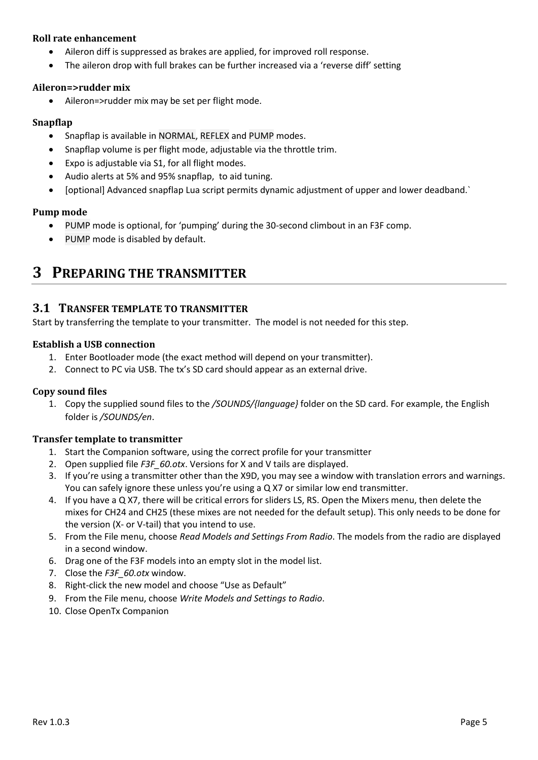### **Roll rate enhancement**

- Aileron diff is suppressed as brakes are applied, for improved roll response.
- The aileron drop with full brakes can be further increased via a 'reverse diff' setting

### **Aileron=>rudder mix**

• Aileron=>rudder mix may be set per flight mode.

### **Snapflap**

- Snapflap is available in NORMAL, REFLEX and PUMP modes.
- Snapflap volume is per flight mode, adjustable via the throttle trim.
- Expo is adjustable via S1, for all flight modes.
- Audio alerts at 5% and 95% snapflap, to aid tuning.
- [optional] Advanced snapflap Lua script permits dynamic adjustment of upper and lower deadband.`

### **Pump mode**

- PUMP mode is optional, for 'pumping' during the 30-second climbout in an F3F comp.
- PUMP mode is disabled by default.

### <span id="page-5-0"></span>**3 PREPARING THE TRANSMITTER**

### <span id="page-5-1"></span>**3.1 TRANSFER TEMPLATE TO TRANSMITTER**

Start by transferring the template to your transmitter. The model is not needed for this step.

### **Establish a USB connection**

- 1. Enter Bootloader mode (the exact method will depend on your transmitter).
- 2. Connect to PC via USB. The tx's SD card should appear as an external drive.

### **Copy sound files**

1. Copy the supplied sound files to the */SOUNDS/{language}* folder on the SD card. For example, the English folder is */SOUNDS/en*.

### **Transfer template to transmitter**

- 1. Start the Companion software, using the correct profile for your transmitter
- 2. Open supplied file *F3F\_60.otx*. Versions for X and V tails are displayed.
- 3. If you're using a transmitter other than the X9D, you may see a window with translation errors and warnings. You can safely ignore these unless you're using a Q X7 or similar low end transmitter.
- 4. If you have a Q X7, there will be critical errors for sliders LS, RS. Open the Mixers menu, then delete the mixes for CH24 and CH25 (these mixes are not needed for the default setup). This only needs to be done for the version (X- or V-tail) that you intend to use.
- 5. From the File menu, choose *Read Models and Settings From Radio*. The models from the radio are displayed in a second window.
- 6. Drag one of the F3F models into an empty slot in the model list.
- 7. Close the *F3F\_60.otx* window.
- 8. Right-click the new model and choose "Use as Default"
- 9. From the File menu, choose *Write Models and Settings to Radio*.
- 10. Close OpenTx Companion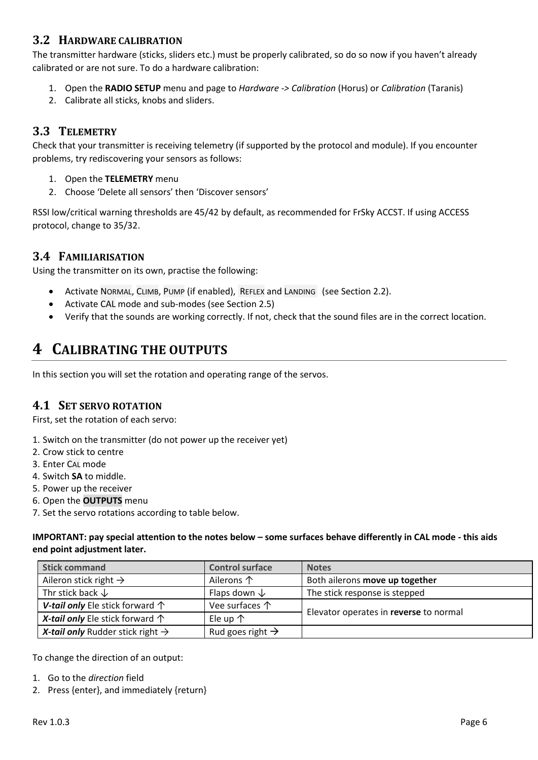### <span id="page-6-0"></span>**3.2 HARDWARE CALIBRATION**

The transmitter hardware (sticks, sliders etc.) must be properly calibrated, so do so now if you haven't already calibrated or are not sure. To do a hardware calibration:

- 1. Open the **RADIO SETUP** menu and page to *Hardware -> Calibration* (Horus) or *Calibration* (Taranis)
- 2. Calibrate all sticks, knobs and sliders.

### <span id="page-6-1"></span>**3.3 TELEMETRY**

Check that your transmitter is receiving telemetry (if supported by the protocol and module). If you encounter problems, try rediscovering your sensors as follows:

- 1. Open the **TELEMETRY** menu
- 2. Choose 'Delete all sensors' then 'Discover sensors'

RSSI low/critical warning thresholds are 45/42 by default, as recommended for FrSky ACCST. If using ACCESS protocol, change to 35/32.

### <span id="page-6-2"></span>**3.4 FAMILIARISATION**

Using the transmitter on its own, practise the following:

- Activate NORMAL, CLIMB, PUMP (if enabled), REFLEX and LANDING (see Section [2.2\)](#page-3-2).
- Activate CAL mode and sub-modes (see Sectio[n 2.5\)](#page-4-1)
- Verify that the sounds are working correctly. If not, check that the sound files are in the correct location.

# <span id="page-6-3"></span>**4 CALIBRATING THE OUTPUTS**

In this section you will set the rotation and operating range of the servos.

### <span id="page-6-4"></span>**4.1 SET SERVO ROTATION**

First, set the rotation of each servo:

- 1. Switch on the transmitter (do not power up the receiver yet)
- 2. Crow stick to centre
- 3. Enter CAL mode
- 4. Switch **SA** to middle.
- 5. Power up the receiver
- 6. Open the **OUTPUTS** menu
- 7. Set the servo rotations according to table below.

**IMPORTANT: pay special attention to the notes below – some surfaces behave differently in CAL mode - this aids end point adjustment later.**

| <b>Stick command</b>                                | <b>Control surface</b>       | <b>Notes</b>                           |
|-----------------------------------------------------|------------------------------|----------------------------------------|
| Aileron stick right $\rightarrow$                   | Ailerons 个                   | Both ailerons move up together         |
| Thr stick back $\downarrow$                         | Flaps down $\downarrow$      | The stick response is stepped          |
| V-tail only Ele stick forward $\uparrow$            | Vee surfaces $\uparrow$      |                                        |
| X-tail only Ele stick forward $\uparrow$            | Ele up $\uparrow$            | Elevator operates in reverse to normal |
| <b>X-tail only</b> Rudder stick right $\rightarrow$ | Rud goes right $\rightarrow$ |                                        |

To change the direction of an output:

- 1. Go to the *direction* field
- 2. Press {enter}, and immediately {return}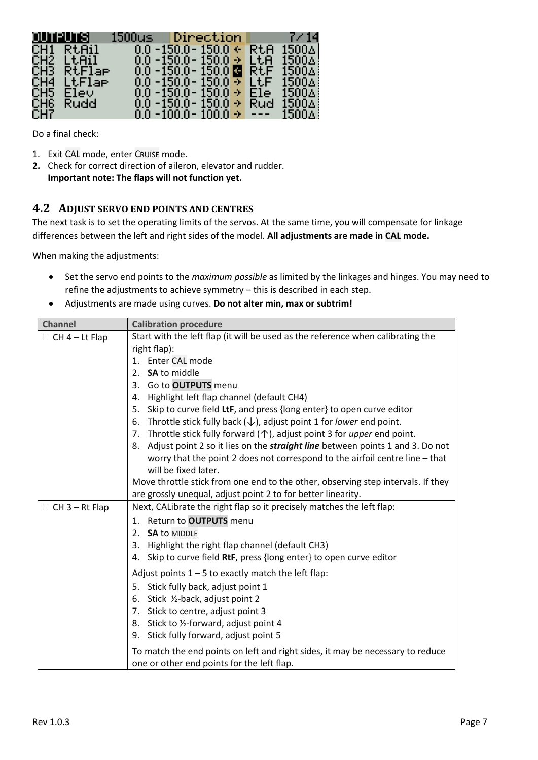|         | outrutsi   | 1500us Direction 7/14                                |     |                 |
|---------|------------|------------------------------------------------------|-----|-----------------|
|         | CH1 RtAil  | $0.0$ -150.0-150.0 $\in$                             | RtA | ال1500          |
|         | CH2 LtAil  | $-0.0$ -150.0 - 150.0 $\rightarrow$                  |     | LtA 1500A!      |
|         | CH3 RtFlae | $0.0$ -150.0-150.0 G RtF 1500 $\Delta$               |     |                 |
|         | CH4 LtFlar | $0.0$ -150.0-150.0 $\rightarrow$ LtF 1500 $\Delta$ 8 |     |                 |
|         | CH5 Elevi  | $0.0$ -150.0- 150.0 $\rightarrow$ 1                  | Ele | $1500\Delta$ :  |
| CH6.    | Rudd       | $0.0$ -150.0- 150.0 $\rightarrow$ 1                  | Rud | $1500\Delta$ :  |
| CH7 - I |            | $0.0$ -100.0- 100.0 $\rightarrow$ ----               |     | $-1500\Delta$ : |

Do a final check:

- 1. Exit CAL mode, enter CRUISE mode.
- **2.** Check for correct direction of aileron, elevator and rudder. **Important note: The flaps will not function yet.**

### <span id="page-7-0"></span>**4.2 ADJUST SERVO END POINTS AND CENTRES**

The next task is to set the operating limits of the servos. At the same time, you will compensate for linkage differences between the left and right sides of the model. **All adjustments are made in CAL mode.**

When making the adjustments:

- Set the servo end points to the *maximum possible* as limited by the linkages and hinges. You may need to refine the adjustments to achieve symmetry – this is described in each step.
- Adjustments are made using curves. **Do not alter min, max or subtrim!**

| <b>Channel</b>        | <b>Calibration procedure</b>                                                                                                 |
|-----------------------|------------------------------------------------------------------------------------------------------------------------------|
| $CH 4 - Lt$ Flap      | Start with the left flap (it will be used as the reference when calibrating the                                              |
|                       | right flap):                                                                                                                 |
|                       | Enter CAL mode<br>$\mathbf{1}$ .                                                                                             |
|                       | 2.<br><b>SA to middle</b>                                                                                                    |
|                       | Go to OUTPUTS menu<br>3.                                                                                                     |
|                       | Highlight left flap channel (default CH4)<br>4.                                                                              |
|                       | Skip to curve field LtF, and press {long enter} to open curve editor<br>5.                                                   |
|                       | Throttle stick fully back $(\downarrow)$ , adjust point 1 for lower end point.<br>6.                                         |
|                       | Throttle stick fully forward $(\uparrow)$ , adjust point 3 for upper end point.<br>7.                                        |
|                       | Adjust point 2 so it lies on the <i>straight line</i> between points 1 and 3. Do not<br>8.                                   |
|                       | worry that the point 2 does not correspond to the airfoil centre line - that                                                 |
|                       | will be fixed later.                                                                                                         |
|                       | Move throttle stick from one end to the other, observing step intervals. If they                                             |
|                       | are grossly unequal, adjust point 2 to for better linearity.                                                                 |
| $\Box$ CH 3 – Rt Flap | Next, CALibrate the right flap so it precisely matches the left flap:                                                        |
|                       | 1. Return to <b>OUTPUTS</b> menu                                                                                             |
|                       | <b>SA to MIDDLE</b><br>2.<br>3.                                                                                              |
|                       | Highlight the right flap channel (default CH3)                                                                               |
|                       | Skip to curve field RtF, press {long enter} to open curve editor<br>4.                                                       |
|                       | Adjust points $1 - 5$ to exactly match the left flap:                                                                        |
|                       | 5. Stick fully back, adjust point 1                                                                                          |
|                       | 6. Stick 1/2-back, adjust point 2                                                                                            |
|                       | Stick to centre, adjust point 3<br>7.                                                                                        |
|                       | Stick to 1/2-forward, adjust point 4<br>8.                                                                                   |
|                       | Stick fully forward, adjust point 5<br>9.                                                                                    |
|                       | To match the end points on left and right sides, it may be necessary to reduce<br>one or other end points for the left flap. |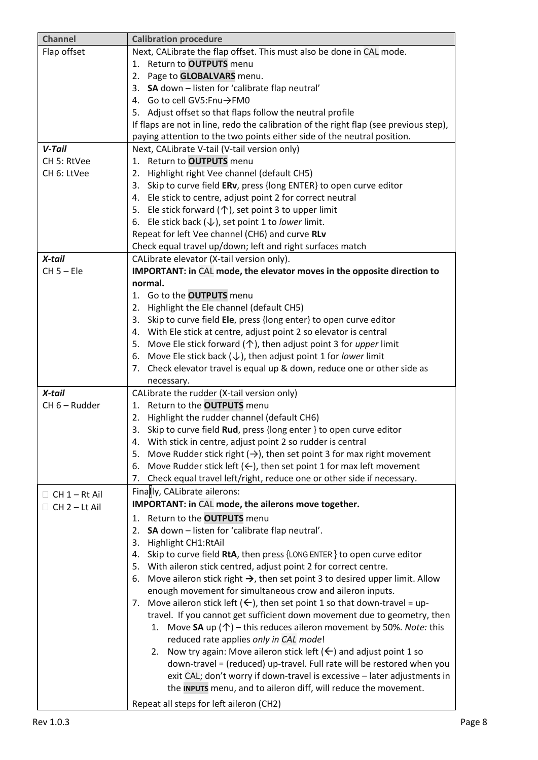| <b>Channel</b>       | <b>Calibration procedure</b>                                                                  |  |  |  |
|----------------------|-----------------------------------------------------------------------------------------------|--|--|--|
| Flap offset          | Next, CALibrate the flap offset. This must also be done in CAL mode.                          |  |  |  |
|                      | 1. Return to <b>OUTPUTS</b> menu                                                              |  |  |  |
|                      | 2. Page to GLOBALVARS menu.                                                                   |  |  |  |
|                      | 3. SA down - listen for 'calibrate flap neutral'                                              |  |  |  |
|                      | 4. Go to cell GV5:Fnu->FM0                                                                    |  |  |  |
|                      | 5. Adjust offset so that flaps follow the neutral profile                                     |  |  |  |
|                      | If flaps are not in line, redo the calibration of the right flap (see previous step),         |  |  |  |
|                      | paying attention to the two points either side of the neutral position.                       |  |  |  |
| V-Tail               | Next, CALibrate V-tail (V-tail version only)                                                  |  |  |  |
| CH 5: RtVee          | 1. Return to <b>OUTPUTS</b> menu                                                              |  |  |  |
| CH 6: LtVee          | Highlight right Vee channel (default CH5)<br>2.                                               |  |  |  |
|                      | Skip to curve field ERv, press {long ENTER} to open curve editor<br>3.                        |  |  |  |
|                      | 4. Ele stick to centre, adjust point 2 for correct neutral                                    |  |  |  |
|                      | 5. Ele stick forward (1), set point 3 to upper limit                                          |  |  |  |
|                      | 6. Ele stick back $(\downarrow)$ , set point 1 to lower limit.                                |  |  |  |
|                      | Repeat for left Vee channel (CH6) and curve RLv                                               |  |  |  |
|                      | Check equal travel up/down; left and right surfaces match                                     |  |  |  |
| X-tail               | CALibrate elevator (X-tail version only).                                                     |  |  |  |
| $CH 5 - Ele$         | IMPORTANT: in CAL mode, the elevator moves in the opposite direction to                       |  |  |  |
|                      | normal.                                                                                       |  |  |  |
|                      | 1. Go to the <b>OUTPUTS</b> menu                                                              |  |  |  |
|                      | Highlight the Ele channel (default CH5)<br>2.                                                 |  |  |  |
|                      | Skip to curve field Ele, press {long enter} to open curve editor<br>3.                        |  |  |  |
|                      | 4. With Ele stick at centre, adjust point 2 so elevator is central                            |  |  |  |
|                      | 5. Move Ele stick forward (1), then adjust point 3 for upper limit                            |  |  |  |
|                      | Move Ele stick back ( $\downarrow$ ), then adjust point 1 for lower limit<br>6.               |  |  |  |
|                      | 7. Check elevator travel is equal up & down, reduce one or other side as                      |  |  |  |
|                      | necessary.                                                                                    |  |  |  |
| X-tail               | CALibrate the rudder (X-tail version only)                                                    |  |  |  |
| CH 6 - Rudder        | 1. Return to the <b>OUTPUTS</b> menu                                                          |  |  |  |
|                      | Highlight the rudder channel (default CH6)<br>2.                                              |  |  |  |
|                      | Skip to curve field Rud, press {long enter } to open curve editor<br>3.                       |  |  |  |
|                      | 4. With stick in centre, adjust point 2 so rudder is central                                  |  |  |  |
|                      | Move Rudder stick right $(\rightarrow)$ , then set point 3 for max right movement<br>5.       |  |  |  |
|                      | Move Rudder stick left $(\leftarrow)$ , then set point 1 for max left movement<br>6.          |  |  |  |
|                      |                                                                                               |  |  |  |
|                      | Check equal travel left/right, reduce one or other side if necessary.<br>7.                   |  |  |  |
| $\Box$ CH 1 – Rt Ail | Finally, CALibrate ailerons:                                                                  |  |  |  |
| $\Box$ CH 2 – Lt Ail | IMPORTANT: in CAL mode, the ailerons move together.                                           |  |  |  |
|                      | Return to the <b>OUTPUTS</b> menu<br>1.                                                       |  |  |  |
|                      | SA down - listen for 'calibrate flap neutral'.<br>2.                                          |  |  |  |
|                      | Highlight CH1:RtAil<br>3.                                                                     |  |  |  |
|                      | Skip to curve field RtA, then press {LONG ENTER } to open curve editor<br>4.                  |  |  |  |
|                      | 5. With aileron stick centred, adjust point 2 for correct centre.                             |  |  |  |
|                      | Move aileron stick right $\rightarrow$ , then set point 3 to desired upper limit. Allow<br>6. |  |  |  |
|                      | enough movement for simultaneous crow and aileron inputs.                                     |  |  |  |
|                      | Move aileron stick left $(\Leftarrow)$ , then set point 1 so that down-travel = up-<br>7.     |  |  |  |
|                      | travel. If you cannot get sufficient down movement due to geometry, then                      |  |  |  |
|                      | 1. Move SA up $(\uparrow)$ - this reduces aileron movement by 50%. Note: this                 |  |  |  |
|                      | reduced rate applies only in CAL mode!                                                        |  |  |  |
|                      | 2. Now try again: Move aileron stick left $(\Leftarrow)$ and adjust point 1 so                |  |  |  |
|                      | down-travel = (reduced) up-travel. Full rate will be restored when you                        |  |  |  |
|                      | exit CAL; don't worry if down-travel is excessive - later adjustments in                      |  |  |  |
|                      |                                                                                               |  |  |  |
|                      | the INPUTS menu, and to aileron diff, will reduce the movement.                               |  |  |  |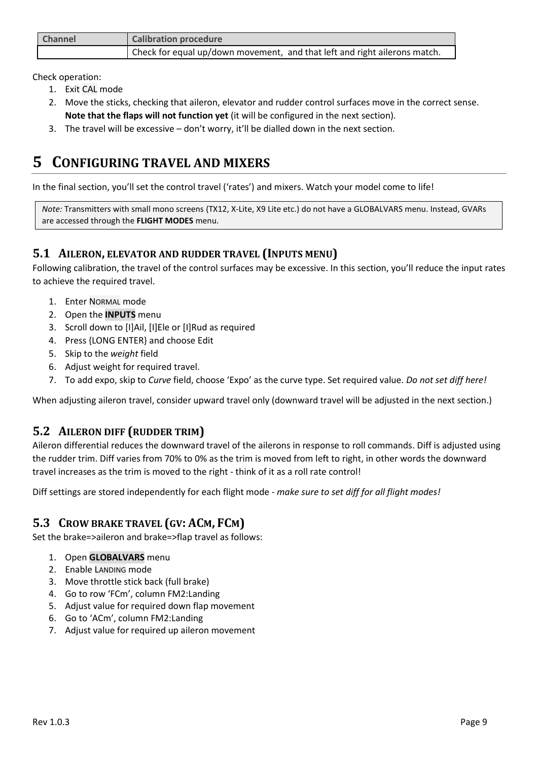| <b>Channel</b> | <b>Calibration procedure</b>                                              |
|----------------|---------------------------------------------------------------------------|
|                | Check for equal up/down movement, and that left and right ailerons match. |

Check operation:

- 1. Exit CAL mode
- 2. Move the sticks, checking that aileron, elevator and rudder control surfaces move in the correct sense. **Note that the flaps will not function yet** (it will be configured in the next section).
- 3. The travel will be excessive don't worry, it'll be dialled down in the next section.

# <span id="page-9-0"></span>**5 CONFIGURING TRAVEL AND MIXERS**

In the final section, you'll set the control travel ('rates') and mixers. Watch your model come to life!

*Note:* Transmitters with small mono screens (TX12, X-Lite, X9 Lite etc.) do not have a GLOBALVARS menu. Instead, GVARs are accessed through the **FLIGHT MODES** menu.

### <span id="page-9-1"></span>**5.1 AILERON, ELEVATOR AND RUDDER TRAVEL (INPUTS MENU)**

Following calibration, the travel of the control surfaces may be excessive. In this section, you'll reduce the input rates to achieve the required travel.

- 1. Enter NORMAL mode
- 2. Open the **INPUTS** menu
- 3. Scroll down to [I]Ail, [I]Ele or [I]Rud as required
- 4. Press {LONG ENTER} and choose Edit
- 5. Skip to the *weight* field
- 6. Adjust weight for required travel.
- 7. To add expo, skip to *Curve* field, choose 'Expo' as the curve type. Set required value. *Do not set diff here!*

When adjusting aileron travel, consider upward travel only (downward travel will be adjusted in the next section.)

### <span id="page-9-2"></span>**5.2 AILERON DIFF (RUDDER TRIM)**

Aileron differential reduces the downward travel of the ailerons in response to roll commands. Diff is adjusted using the rudder trim. Diff varies from 70% to 0% as the trim is moved from left to right, in other words the downward travel increases as the trim is moved to the right - think of it as a roll rate control!

Diff settings are stored independently for each flight mode - *make sure to set diff for all flight modes!*

### <span id="page-9-3"></span>**5.3 CROW BRAKE TRAVEL (GV: ACM, FCM)**

Set the brake=>aileron and brake=>flap travel as follows:

- 1. Open **GLOBALVARS** menu
- 2. Enable LANDING mode
- 3. Move throttle stick back (full brake)
- 4. Go to row 'FCm', column FM2:Landing
- 5. Adjust value for required down flap movement
- 6. Go to 'ACm', column FM2:Landing
- 7. Adjust value for required up aileron movement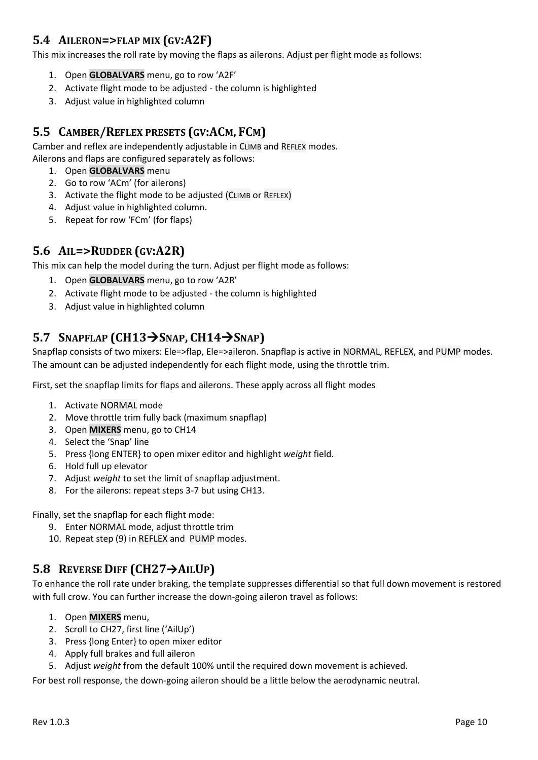### <span id="page-10-0"></span>**5.4 AILERON=>FLAP MIX (GV:A2F)**

This mix increases the roll rate by moving the flaps as ailerons. Adjust per flight mode as follows:

- 1. Open **GLOBALVARS** menu, go to row 'A2F'
- 2. Activate flight mode to be adjusted the column is highlighted
- 3. Adjust value in highlighted column

### <span id="page-10-1"></span>**5.5 CAMBER/REFLEX PRESETS (GV:ACM, FCM)**

Camber and reflex are independently adjustable in CLIMB and REFLEX modes. Ailerons and flaps are configured separately as follows:

- 1. Open **GLOBALVARS** menu
- 2. Go to row 'ACm' (for ailerons)
- 3. Activate the flight mode to be adjusted (CLIMB or REFLEX)
- 4. Adjust value in highlighted column.
- 5. Repeat for row 'FCm' (for flaps)

### <span id="page-10-2"></span>**5.6 AIL=>RUDDER (GV:A2R)**

This mix can help the model during the turn. Adjust per flight mode as follows:

- 1. Open **GLOBALVARS** menu, go to row 'A2R'
- 2. Activate flight mode to be adjusted the column is highlighted
- 3. Adjust value in highlighted column

### <span id="page-10-3"></span>**5.7 SNAPFLAP (CH13**→**SNAP, CH14**→**SNAP)**

Snapflap consists of two mixers: Ele=>flap, Ele=>aileron. Snapflap is active in NORMAL, REFLEX, and PUMP modes. The amount can be adjusted independently for each flight mode, using the throttle trim.

First, set the snapflap limits for flaps and ailerons. These apply across all flight modes

- 1. Activate NORMAL mode
- 2. Move throttle trim fully back (maximum snapflap)
- 3. Open **MIXERS** menu, go to CH14
- 4. Select the 'Snap' line
- 5. Press {long ENTER} to open mixer editor and highlight *weight* field.
- 6. Hold full up elevator
- 7. Adjust *weight* to set the limit of snapflap adjustment.
- 8. For the ailerons: repeat steps 3-7 but using CH13.

Finally, set the snapflap for each flight mode:

- 9. Enter NORMAL mode, adjust throttle trim
- 10. Repeat step (9) in REFLEX and PUMP modes.

### <span id="page-10-4"></span>**5.8 REVERSE DIFF (CH27→AILUP)**

To enhance the roll rate under braking, the template suppresses differential so that full down movement is restored with full crow. You can further increase the down-going aileron travel as follows:

- 1. Open **MIXERS** menu,
- 2. Scroll to CH27, first line ('AilUp')
- 3. Press {long Enter} to open mixer editor
- 4. Apply full brakes and full aileron
- 5. Adjust *weight* from the default 100% until the required down movement is achieved.

For best roll response, the down-going aileron should be a little below the aerodynamic neutral.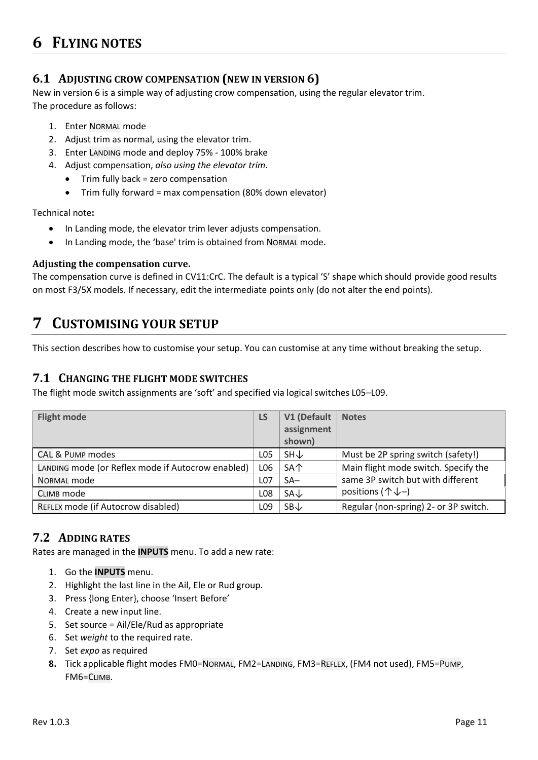### <span id="page-11-1"></span><span id="page-11-0"></span>**6.1 ADJUSTING CROW COMPENSATION (NEW IN VERSION 6)**

New in version 6 is a simple way of adjusting crow compensation, using the regular elevator trim. The procedure as follows:

- 1. Enter NORMAL mode
- 2. Adjust trim as normal, using the elevator trim.
- 3. Enter LANDING mode and deploy 75% 100% brake
- 4. Adjust compensation, *also using the elevator trim*.
	- Trim fully back = zero compensation
	- Trim fully forward = max compensation (80% down elevator)

Technical note**:**

- In Landing mode, the elevator trim lever adjusts compensation.
- In Landing mode, the 'base' trim is obtained from NORMAL mode.

### **Adjusting the compensation curve.**

The compensation curve is defined in CV11:CrC. The default is a typical 'S' shape which should provide good results on most F3/5X models. If necessary, edit the intermediate points only (do not alter the end points).

# <span id="page-11-2"></span>**7 CUSTOMISING YOUR SETUP**

<span id="page-11-3"></span>This section describes how to customise your setup. You can customise at any time without breaking the setup.

### **7.1 CHANGING THE FLIGHT MODE SWITCHES**

The flight mode switch assignments are 'soft' and specified via logical switches L05–L09.

| <b>Flight mode</b>                                | <b>LS</b>        | V1 (Default<br>assignment<br>shown) | <b>Notes</b>                          |
|---------------------------------------------------|------------------|-------------------------------------|---------------------------------------|
| <b>CAL &amp; PUMP modes</b>                       | L <sub>05</sub>  | SHV                                 | Must be 2P spring switch (safety!)    |
| LANDING mode (or Reflex mode if Autocrow enabled) | L06              | SA个                                 | Main flight mode switch. Specify the  |
| NORMAL mode                                       | L07              | $SA-$                               | same 3P switch but with different     |
| CLIMB mode                                        | L <sub>0</sub> 8 | $SA\downarrow$                      | positions ( $\uparrow \downarrow -$ ) |
| REFLEX mode (if Autocrow disabled)                | L <sub>09</sub>  | $SB\downarrow$                      | Regular (non-spring) 2- or 3P switch. |

### <span id="page-11-4"></span>**7.2 ADDING RATES**

Rates are managed in the **INPUTS** menu. To add a new rate:

- 1. Go the **INPUTS** menu.
- 2. Highlight the last line in the Ail, Ele or Rud group.
- 3. Press {long Enter}, choose 'Insert Before'
- 4. Create a new input line.
- 5. Set source = Ail/Ele/Rud as appropriate
- 6. Set *weight* to the required rate.
- 7. Set *expo* as required
- **8.** Tick applicable flight modes FM0=NORMAL, FM2=LANDING, FM3=REFLEX, (FM4 not used), FM5=PUMP, FM6=CLIMB.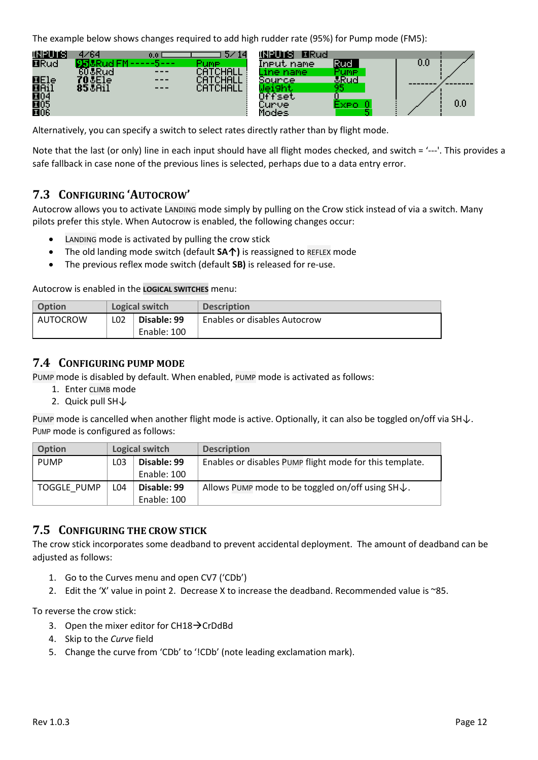The example below shows changes required to add high rudder rate (95%) for Pump mode (FM5):



Alternatively, you can specify a switch to select rates directly rather than by flight mode.

Note that the last (or only) line in each input should have all flight modes checked, and switch = '---'. This provides a safe fallback in case none of the previous lines is selected, perhaps due to a data entry error.

### <span id="page-12-0"></span>**7.3 CONFIGURING 'AUTOCROW'**

Autocrow allows you to activate LANDING mode simply by pulling on the Crow stick instead of via a switch. Many pilots prefer this style. When Autocrow is enabled, the following changes occur:

- LANDING mode is activated by pulling the crow stick
- The old landing mode switch (default **SA↑)** is reassigned to REFLEX mode
- The previous reflex mode switch (default **SB)** is released for re-use.

Autocrow is enabled in the **LOGICAL SWITCHES** menu:

| <b>Option</b> | Logical switch  |             | <b>Description</b>           |
|---------------|-----------------|-------------|------------------------------|
| AUTOCROW      | L <sub>02</sub> | Disable: 99 | Enables or disables Autocrow |
|               |                 | Enable: 100 |                              |

### <span id="page-12-1"></span>**7.4 CONFIGURING PUMP MODE**

PUMP mode is disabled by default. When enabled, PUMP mode is activated as follows:

- 1. Enter CLIMB mode
- 2. Quick pull SH↓

PUMP mode is cancelled when another flight mode is active. Optionally, it can also be toggled on/off via SH↓. PUMP mode is configured as follows:

| <b>Option</b>      | <b>Logical switch</b> |             | <b>Description</b>                                      |
|--------------------|-----------------------|-------------|---------------------------------------------------------|
| <b>PUMP</b>        | LO <sub>3</sub>       | Disable: 99 | Enables or disables PUMP flight mode for this template. |
|                    |                       | Enable: 100 |                                                         |
| <b>TOGGLE PUMP</b> | L04                   | Disable: 99 | Allows PUMP mode to be toggled on/off using SH↓.        |
|                    |                       | Enable: 100 |                                                         |

### <span id="page-12-2"></span>**7.5 CONFIGURING THE CROW STICK**

The crow stick incorporates some deadband to prevent accidental deployment. The amount of deadband can be adjusted as follows:

- 1. Go to the Curves menu and open CV7 ('CDb')
- 2. Edit the 'X' value in point 2. Decrease X to increase the deadband. Recommended value is ~85.

To reverse the crow stick:

- 3. Open the mixer editor for CH18→CrDdBd
- 4. Skip to the *Curve* field
- 5. Change the curve from 'CDb' to '!CDb' (note leading exclamation mark).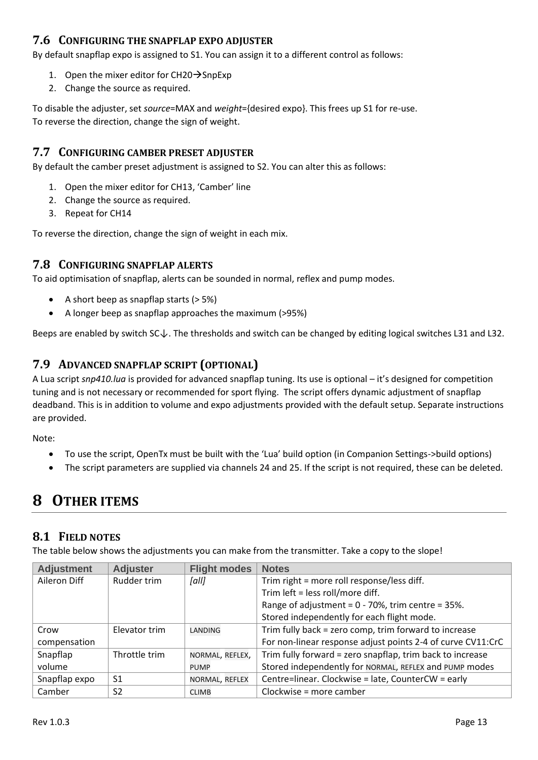### <span id="page-13-0"></span>**7.6 CONFIGURING THE SNAPFLAP EXPO ADJUSTER**

By default snapflap expo is assigned to S1. You can assign it to a different control as follows:

- 1. Open the mixer editor for CH20 $\rightarrow$ SnpExp
- 2. Change the source as required.

To disable the adjuster, set *source*=MAX and *weight*={desired expo}. This frees up S1 for re-use. To reverse the direction, change the sign of weight.

### <span id="page-13-1"></span>**7.7 CONFIGURING CAMBER PRESET ADJUSTER**

By default the camber preset adjustment is assigned to S2. You can alter this as follows:

- 1. Open the mixer editor for CH13, 'Camber' line
- 2. Change the source as required.
- 3. Repeat for CH14

To reverse the direction, change the sign of weight in each mix.

### <span id="page-13-2"></span>**7.8 CONFIGURING SNAPFLAP ALERTS**

To aid optimisation of snapflap, alerts can be sounded in normal, reflex and pump modes.

- A short beep as snapflap starts (> 5%)
- A longer beep as snapflap approaches the maximum (>95%)

Beeps are enabled by switch SC↓. The thresholds and switch can be changed by editing logical switches L31 and L32.

### <span id="page-13-3"></span>**7.9 ADVANCED SNAPFLAP SCRIPT (OPTIONAL)**

A Lua script *snp410.lua* is provided for advanced snapflap tuning. Its use is optional – it's designed for competition tuning and is not necessary or recommended for sport flying. The script offers dynamic adjustment of snapflap deadband. This is in addition to volume and expo adjustments provided with the default setup. Separate instructions are provided.

Note:

- To use the script, OpenTx must be built with the 'Lua' build option (in Companion Settings->build options)
- The script parameters are supplied via channels 24 and 25. If the script is not required, these can be deleted.

# <span id="page-13-4"></span>**8 OTHER ITEMS**

### <span id="page-13-5"></span>**8.1 FIELD NOTES**

The table below shows the adjustments you can make from the transmitter. Take a copy to the slope!

| <b>Adjustment</b> | <b>Adjuster</b> | <b>Flight modes</b> | <b>Notes</b>                                                |
|-------------------|-----------------|---------------------|-------------------------------------------------------------|
| Aileron Diff      | Rudder trim     | [all]               | Trim right = more roll response/less diff.                  |
|                   |                 |                     | Trim left = less roll/more diff.                            |
|                   |                 |                     | Range of adjustment = $0 - 70$ %, trim centre = 35%.        |
|                   |                 |                     | Stored independently for each flight mode.                  |
| Crow              | Elevator trim   | LANDING             | Trim fully back = zero comp, trim forward to increase       |
| compensation      |                 |                     | For non-linear response adjust points 2-4 of curve CV11:CrC |
| Snapflap          | Throttle trim   | NORMAL, REFLEX,     | Trim fully forward = zero snapflap, trim back to increase   |
| volume            |                 | <b>PUMP</b>         | Stored independently for NORMAL, REFLEX and PUMP modes      |
| Snapflap expo     | S <sub>1</sub>  | NORMAL, REFLEX      | Centre=linear. Clockwise = late, CounterCW = early          |
| Camber            | S <sub>2</sub>  | <b>CLIMB</b>        | Clockwise = more camber                                     |